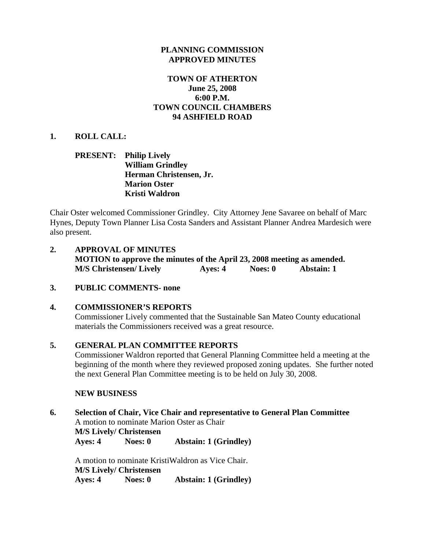### **PLANNING COMMISSION APPROVED MINUTES**

## **TOWN OF ATHERTON June 25, 2008 6:00 P.M. TOWN COUNCIL CHAMBERS 94 ASHFIELD ROAD**

### **1. ROLL CALL:**

### **PRESENT: Philip Lively William Grindley Herman Christensen, Jr. Marion Oster Kristi Waldron**

Chair Oster welcomed Commissioner Grindley. City Attorney Jene Savaree on behalf of Marc Hynes, Deputy Town Planner Lisa Costa Sanders and Assistant Planner Andrea Mardesich were also present.

- **2. APPROVAL OF MINUTES MOTION to approve the minutes of the April 23, 2008 meeting as amended. M/S Christensen/ Lively Ayes: 4 Noes: 0 Abstain: 1**
- **3. PUBLIC COMMENTS- none**

#### **4. COMMISSIONER'S REPORTS**

Commissioner Lively commented that the Sustainable San Mateo County educational materials the Commissioners received was a great resource.

## **5. GENERAL PLAN COMMITTEE REPORTS**

Commissioner Waldron reported that General Planning Committee held a meeting at the beginning of the month where they reviewed proposed zoning updates. She further noted the next General Plan Committee meeting is to be held on July 30, 2008.

#### **NEW BUSINESS**

**6. Selection of Chair, Vice Chair and representative to General Plan Committee** A motion to nominate Marion Oster as Chair **M/S Lively/ Christensen Ayes: 4 Noes: 0 Abstain: 1 (Grindley)** 

A motion to nominate KristiWaldron as Vice Chair. **M/S Lively/ Christensen Ayes: 4 Noes: 0 Abstain: 1 (Grindley)**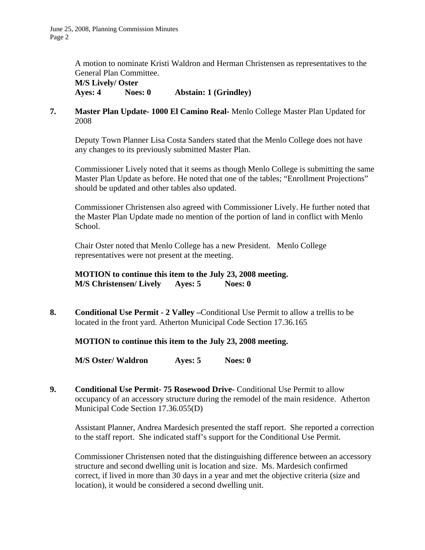A motion to nominate Kristi Waldron and Herman Christensen as representatives to the General Plan Committee.

 **M/S Lively/ Oster Ayes: 4 Noes: 0 Abstain: 1 (Grindley)** 

**7. Master Plan Update- 1000 El Camino Real-** Menlo College Master Plan Updated for 2008

Deputy Town Planner Lisa Costa Sanders stated that the Menlo College does not have any changes to its previously submitted Master Plan.

Commissioner Lively noted that it seems as though Menlo College is submitting the same Master Plan Update as before. He noted that one of the tables; "Enrollment Projections" should be updated and other tables also updated.

Commissioner Christensen also agreed with Commissioner Lively. He further noted that the Master Plan Update made no mention of the portion of land in conflict with Menlo School.

Chair Oster noted that Menlo College has a new President. Menlo College representatives were not present at the meeting.

**MOTION to continue this item to the July 23, 2008 meeting. M/S Christensen/ Lively Ayes: 5 Noes: 0**

**8. Conditional Use Permit - 2 Valley –**Conditional Use Permit to allow a trellis to be located in the front yard. Atherton Municipal Code Section 17.36.165

**MOTION to continue this item to the July 23, 2008 meeting.** 

**M/S Oster/ Waldron Ayes: 5 Noes: 0** 

**9. Conditional Use Permit- 75 Rosewood Drive-** Conditional Use Permit to allow occupancy of an accessory structure during the remodel of the main residence. Atherton Municipal Code Section 17.36.055(D)

Assistant Planner, Andrea Mardesich presented the staff report. She reported a correction to the staff report. She indicated staff's support for the Conditional Use Permit.

Commissioner Christensen noted that the distinguishing difference between an accessory structure and second dwelling unit is location and size. Ms. Mardesich confirmed correct, if lived in more than 30 days in a year and met the objective criteria (size and location), it would be considered a second dwelling unit.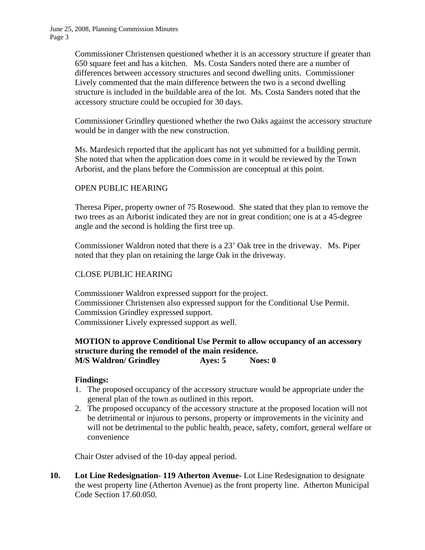Commissioner Christensen questioned whether it is an accessory structure if greater than 650 square feet and has a kitchen. Ms. Costa Sanders noted there are a number of differences between accessory structures and second dwelling units. Commissioner Lively commented that the main difference between the two is a second dwelling structure is included in the buildable area of the lot. Ms. Costa Sanders noted that the accessory structure could be occupied for 30 days.

Commissioner Grindley questioned whether the two Oaks against the accessory structure would be in danger with the new construction.

Ms. Mardesich reported that the applicant has not yet submitted for a building permit. She noted that when the application does come in it would be reviewed by the Town Arborist, and the plans before the Commission are conceptual at this point.

## OPEN PUBLIC HEARING

Theresa Piper, property owner of 75 Rosewood. She stated that they plan to remove the two trees as an Arborist indicated they are not in great condition; one is at a 45-degree angle and the second is holding the first tree up.

Commissioner Waldron noted that there is a 23' Oak tree in the driveway. Ms. Piper noted that they plan on retaining the large Oak in the driveway.

## CLOSE PUBLIC HEARING

Commissioner Waldron expressed support for the project. Commissioner Christensen also expressed support for the Conditional Use Permit. Commission Grindley expressed support. Commissioner Lively expressed support as well.

### **MOTION to approve Conditional Use Permit to allow occupancy of an accessory structure during the remodel of the main residence. M/S Waldron/ Grindley Ayes: 5 Noes: 0**

## **Findings:**

- 1. The proposed occupancy of the accessory structure would be appropriate under the general plan of the town as outlined in this report.
- 2. The proposed occupancy of the accessory structure at the proposed location will not be detrimental or injurous to persons, property or improvements in the vicinity and will not be detrimental to the public health, peace, safety, comfort, general welfare or convenience

Chair Oster advised of the 10-day appeal period.

**10. Lot Line Redesignation- 119 Atherton Avenue-** Lot Line Redesignation to designate the west property line (Atherton Avenue) as the front property line. Atherton Municipal Code Section 17.60.050.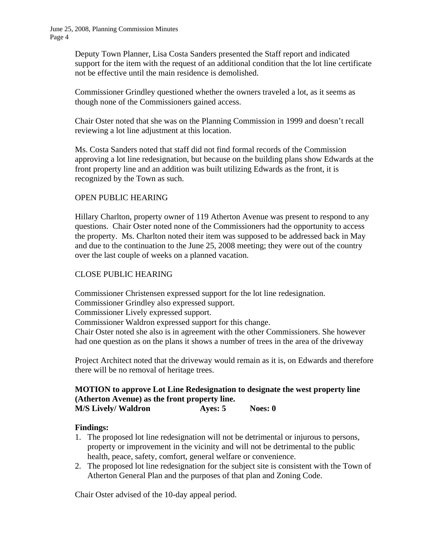Deputy Town Planner, Lisa Costa Sanders presented the Staff report and indicated support for the item with the request of an additional condition that the lot line certificate not be effective until the main residence is demolished.

Commissioner Grindley questioned whether the owners traveled a lot, as it seems as though none of the Commissioners gained access.

Chair Oster noted that she was on the Planning Commission in 1999 and doesn't recall reviewing a lot line adjustment at this location.

Ms. Costa Sanders noted that staff did not find formal records of the Commission approving a lot line redesignation, but because on the building plans show Edwards at the front property line and an addition was built utilizing Edwards as the front, it is recognized by the Town as such.

## OPEN PUBLIC HEARING

Hillary Charlton, property owner of 119 Atherton Avenue was present to respond to any questions. Chair Oster noted none of the Commissioners had the opportunity to access the property. Ms. Charlton noted their item was supposed to be addressed back in May and due to the continuation to the June 25, 2008 meeting; they were out of the country over the last couple of weeks on a planned vacation.

## CLOSE PUBLIC HEARING

Commissioner Christensen expressed support for the lot line redesignation.

Commissioner Grindley also expressed support.

Commissioner Lively expressed support.

Commissioner Waldron expressed support for this change.

Chair Oster noted she also is in agreement with the other Commissioners. She however had one question as on the plans it shows a number of trees in the area of the driveway

Project Architect noted that the driveway would remain as it is, on Edwards and therefore there will be no removal of heritage trees.

### **MOTION to approve Lot Line Redesignation to designate the west property line (Atherton Avenue) as the front property line. M/S Lively/ Waldron Ayes: 5** Noes: 0

#### **Findings:**

- 1. The proposed lot line redesignation will not be detrimental or injurous to persons, property or improvement in the vicinity and will not be detrimental to the public health, peace, safety, comfort, general welfare or convenience.
- 2. The proposed lot line redesignation for the subject site is consistent with the Town of Atherton General Plan and the purposes of that plan and Zoning Code.

Chair Oster advised of the 10-day appeal period.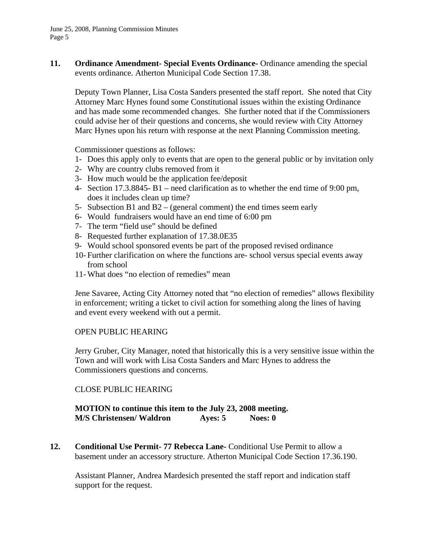June 25, 2008, Planning Commission Minutes Page 5

**11. Ordinance Amendment- Special Events Ordinance-** Ordinance amending the special events ordinance. Atherton Municipal Code Section 17.38.

 Deputy Town Planner, Lisa Costa Sanders presented the staff report. She noted that City Attorney Marc Hynes found some Constitutional issues within the existing Ordinance and has made some recommended changes. She further noted that if the Commissioners could advise her of their questions and concerns, she would review with City Attorney Marc Hynes upon his return with response at the next Planning Commission meeting.

Commissioner questions as follows:

- 1- Does this apply only to events that are open to the general public or by invitation only
- 2- Why are country clubs removed from it
- 3- How much would be the application fee/deposit
- 4- Section 17.3.8845- B1 need clarification as to whether the end time of 9:00 pm, does it includes clean up time?
- 5- Subsection B1 and B2 (general comment) the end times seem early
- 6- Would fundraisers would have an end time of 6:00 pm
- 7- The term "field use" should be defined
- 8- Requested further explanation of 17.38.0E35
- 9- Would school sponsored events be part of the proposed revised ordinance
- 10- Further clarification on where the functions are- school versus special events away from school
- 11- What does "no election of remedies" mean

Jene Savaree, Acting City Attorney noted that "no election of remedies" allows flexibility in enforcement; writing a ticket to civil action for something along the lines of having and event every weekend with out a permit.

#### OPEN PUBLIC HEARING

Jerry Gruber, City Manager, noted that historically this is a very sensitive issue within the Town and will work with Lisa Costa Sanders and Marc Hynes to address the Commissioners questions and concerns.

#### CLOSE PUBLIC HEARING

**MOTION to continue this item to the July 23, 2008 meeting. M/S Christensen/ Waldron Ayes: 5 Noes: 0**

**12.** Conditional Use Permit- 77 Rebecca Lane- Conditional Use Permit to allow a basement under an accessory structure. Atherton Municipal Code Section 17.36.190.

 Assistant Planner, Andrea Mardesich presented the staff report and indication staff support for the request.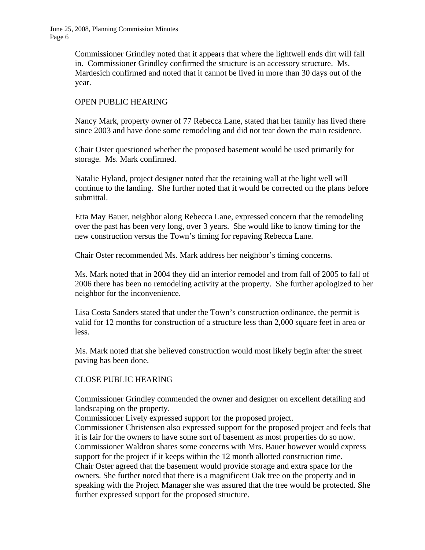June 25, 2008, Planning Commission Minutes Page 6

> Commissioner Grindley noted that it appears that where the lightwell ends dirt will fall in. Commissioner Grindley confirmed the structure is an accessory structure. Ms. Mardesich confirmed and noted that it cannot be lived in more than 30 days out of the year.

### OPEN PUBLIC HEARING

 Nancy Mark, property owner of 77 Rebecca Lane, stated that her family has lived there since 2003 and have done some remodeling and did not tear down the main residence.

 Chair Oster questioned whether the proposed basement would be used primarily for storage. Ms. Mark confirmed.

 Natalie Hyland, project designer noted that the retaining wall at the light well will continue to the landing. She further noted that it would be corrected on the plans before submittal.

 Etta May Bauer, neighbor along Rebecca Lane, expressed concern that the remodeling over the past has been very long, over 3 years. She would like to know timing for the new construction versus the Town's timing for repaving Rebecca Lane.

Chair Oster recommended Ms. Mark address her neighbor's timing concerns.

 Ms. Mark noted that in 2004 they did an interior remodel and from fall of 2005 to fall of 2006 there has been no remodeling activity at the property. She further apologized to her neighbor for the inconvenience.

 Lisa Costa Sanders stated that under the Town's construction ordinance, the permit is valid for 12 months for construction of a structure less than 2,000 square feet in area or less.

 Ms. Mark noted that she believed construction would most likely begin after the street paving has been done.

#### CLOSE PUBLIC HEARING

 Commissioner Grindley commended the owner and designer on excellent detailing and landscaping on the property.

Commissioner Lively expressed support for the proposed project.

 Commissioner Christensen also expressed support for the proposed project and feels that it is fair for the owners to have some sort of basement as most properties do so now. Commissioner Waldron shares some concerns with Mrs. Bauer however would express support for the project if it keeps within the 12 month allotted construction time. Chair Oster agreed that the basement would provide storage and extra space for the owners. She further noted that there is a magnificent Oak tree on the property and in speaking with the Project Manager she was assured that the tree would be protected. She further expressed support for the proposed structure.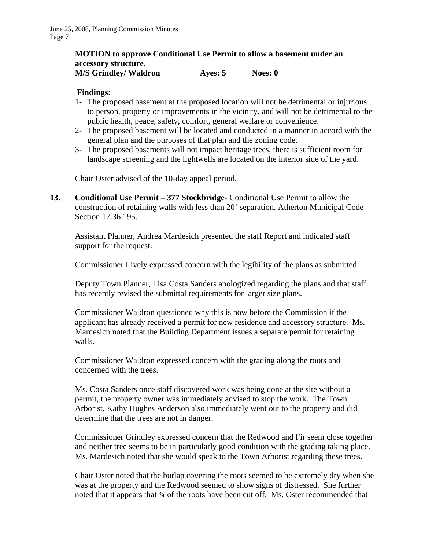# **MOTION to approve Conditional Use Permit to allow a basement under an accessory structure.**

## **M/S Grindley/ Waldron Ayes: 5** Noes: 0

## **Findings:**

- 1- The proposed basement at the proposed location will not be detrimental or injurious to person, property or improvements in the vicinity, and will not be detrimental to the public health, peace, safety, comfort, general welfare or convenience.
- 2- The proposed basement will be located and conducted in a manner in accord with the general plan and the purposes of that plan and the zoning code.
- 3- The proposed basements will not impact heritage trees, there is sufficient room for landscape screening and the lightwells are located on the interior side of the yard.

Chair Oster advised of the 10-day appeal period.

**13. Conditional Use Permit – 377 Stockbridge-** Conditional Use Permit to allow the construction of retaining walls with less than 20' separation. Atherton Municipal Code Section 17.36.195.

Assistant Planner, Andrea Mardesich presented the staff Report and indicated staff support for the request.

Commissioner Lively expressed concern with the legibility of the plans as submitted.

Deputy Town Planner, Lisa Costa Sanders apologized regarding the plans and that staff has recently revised the submittal requirements for larger size plans.

Commissioner Waldron questioned why this is now before the Commission if the applicant has already received a permit for new residence and accessory structure. Ms. Mardesich noted that the Building Department issues a separate permit for retaining walls.

Commissioner Waldron expressed concern with the grading along the roots and concerned with the trees.

Ms. Costa Sanders once staff discovered work was being done at the site without a permit, the property owner was immediately advised to stop the work. The Town Arborist, Kathy Hughes Anderson also immediately went out to the property and did determine that the trees are not in danger.

Commissioner Grindley expressed concern that the Redwood and Fir seem close together and neither tree seems to be in particularly good condition with the grading taking place. Ms. Mardesich noted that she would speak to the Town Arborist regarding these trees.

Chair Oster noted that the burlap covering the roots seemed to be extremely dry when she was at the property and the Redwood seemed to show signs of distressed. She further noted that it appears that  $\frac{3}{4}$  of the roots have been cut off. Ms. Oster recommended that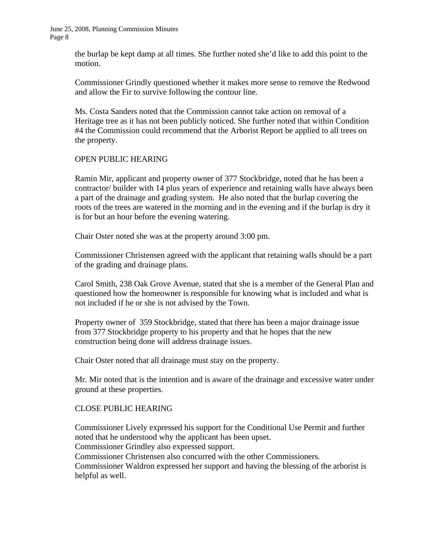June 25, 2008, Planning Commission Minutes Page 8

> the burlap be kept damp at all times. She further noted she'd like to add this point to the motion.

> Commissioner Grindly questioned whether it makes more sense to remove the Redwood and allow the Fir to survive following the contour line.

> Ms. Costa Sanders noted that the Commission cannot take action on removal of a Heritage tree as it has not been publicly noticed. She further noted that within Condition #4 the Commission could recommend that the Arborist Report be applied to all trees on the property.

## OPEN PUBLIC HEARING

Ramin Mir, applicant and property owner of 377 Stockbridge, noted that he has been a contractor/ builder with 14 plus years of experience and retaining walls have always been a part of the drainage and grading system. He also noted that the burlap covering the roots of the trees are watered in the morning and in the evening and if the burlap is dry it is for but an hour before the evening watering.

Chair Oster noted she was at the property around 3:00 pm.

Commissioner Christensen agreed with the applicant that retaining walls should be a part of the grading and drainage plans.

Carol Smith, 238 Oak Grove Avenue, stated that she is a member of the General Plan and questioned how the homeowner is responsible for knowing what is included and what is not included if he or she is not advised by the Town.

Property owner of 359 Stockbridge, stated that there has been a major drainage issue from 377 Stockbridge property to his property and that he hopes that the new construction being done will address drainage issues.

Chair Oster noted that all drainage must stay on the property.

Mr. Mir noted that is the intention and is aware of the drainage and excessive water under ground at these properties.

#### CLOSE PUBLIC HEARING

Commissioner Lively expressed his support for the Conditional Use Permit and further noted that he understood why the applicant has been upset. Commissioner Grindley also expressed support. Commissioner Christensen also concurred with the other Commissioners. Commissioner Waldron expressed her support and having the blessing of the arborist is helpful as well.